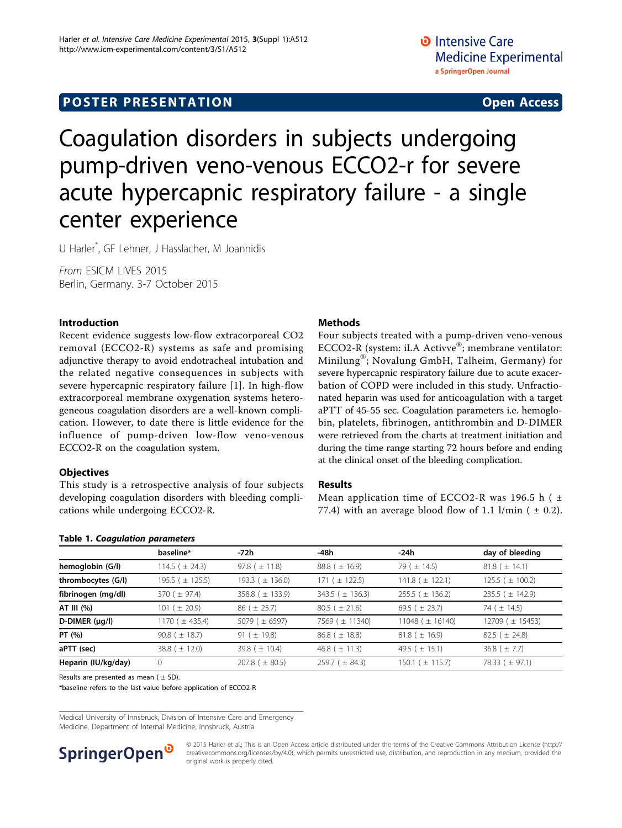# <span id="page-0-0"></span>Coagulation disorders in subjects undergoing pump-driven veno-venous ECCO2-r for severe acute hypercapnic respiratory failure - a single center experience

U Harler\* , GF Lehner, J Hasslacher, M Joannidis

From ESICM LIVES 2015 Berlin, Germany. 3-7 October 2015

#### Introduction

Recent evidence suggests low-flow extracorporeal CO2 removal (ECCO2-R) systems as safe and promising adjunctive therapy to avoid endotracheal intubation and the related negative consequences in subjects with severe hypercapnic respiratory failure [[1\]](#page-1-0). In high-flow extracorporeal membrane oxygenation systems heterogeneous coagulation disorders are a well-known complication. However, to date there is little evidence for the influence of pump-driven low-flow veno-venous ECCO2-R on the coagulation system.

### **Objectives**

This study is a retrospective analysis of four subjects developing coagulation disorders with bleeding complications while undergoing ECCO2-R.

#### Methods

Four subjects treated with a pump-driven veno-venous ECCO2-R (system: iLA Activve®; membrane ventilator: Minilung®; Novalung GmbH, Talheim, Germany) for severe hypercapnic respiratory failure due to acute exacerbation of COPD were included in this study. Unfractionated heparin was used for anticoagulation with a target aPTT of 45-55 sec. Coagulation parameters i.e. hemoglobin, platelets, fibrinogen, antithrombin and D-DIMER were retrieved from the charts at treatment initiation and during the time range starting 72 hours before and ending at the clinical onset of the bleeding complication.

#### Results

Mean application time of ECCO2-R was 196.5 h ( $\pm$ 77.4) with an average blood flow of 1.1 l/min ( $\pm$  0.2).

| Table 1. Coagulation parameters |                      |                      |                       |                        |                      |
|---------------------------------|----------------------|----------------------|-----------------------|------------------------|----------------------|
|                                 | baseline*            | -72h                 | -48h                  | -24h                   | day of bleeding      |
| hemoglobin (G/l)                | 114.5 ( $\pm$ 24.3)  | 97.8 ( $\pm$ 11.8)   | $88.8$ ( $\pm$ 16.9)  | 79 ( $\pm$ 14.5)       | $81.8~(\pm 14.1)$    |
| thrombocytes (G/I)              | 195.5 ( $\pm$ 125.5) | 193.3 ( $\pm$ 136.0) | 171 ( $\pm$ 122.5)    | $141.8$ ( $\pm$ 122.1) | 125.5 ( $\pm$ 100.2) |
| fibrinogen (mg/dl)              | 370 ( $\pm$ 97.4)    | 358.8 ( $\pm$ 133.9) | 343.5 ( $\pm$ 136.3)  | $255.5$ ( $\pm$ 136.2) | 235.5 ( $\pm$ 142.9) |
| AT III (%)                      | 101 ( $\pm$ 20.9)    | $86$ ( $\pm$ 25.7)   | $80.5$ ( $\pm$ 21.6)  | 69.5 ( $\pm$ 23.7)     | 74 ( $\pm$ 14.5)     |
| $D$ -DIMER ( $\mu$ g/l)         | 1170 ( $\pm$ 435.4)  | 5079 ( $\pm$ 6597)   | 7569 (± 11340)        | 11048 ( $\pm$ 16140)   | 12709 ( $\pm$ 15453) |
| PT (%)                          | 90.8 ( $\pm$ 18.7)   | 91 ( $\pm$ 19.8)     | $86.8$ ( $\pm$ 18.8)  | $81.8~(\pm 16.9)$      | 82.5 ( $\pm$ 24.8)   |
| aPTT (sec)                      | 38.8 ( $\pm$ 12.0)   | 39.8 ( $\pm$ 10.4)   | 46.8 ( $\pm$ 11.3)    | 49.5 ( $\pm$ 15.1)     | $36.8$ ( $\pm$ 7.7)  |
| Heparin (IU/kg/day)             | 0                    | 207.8 ( $\pm$ 80.5)  | $259.7$ ( $\pm$ 84.3) | 150.1 ( $\pm$ 115.7)   | 78.33 ( $\pm$ 97.1)  |

Results are presented as mean ( $\pm$  SD).

\*baseline refers to the last value before application of ECCO2-R

Medical University of Innsbruck, Division of Intensive Care and Emergency Medicine, Department of Internal Medicine, Innsbruck, Austria



© 2015 Harler et al.; This is an Open Access article distributed under the terms of the Creative Commons Attribution License [\(http://](http://creativecommons.org/licenses/by/4.0) [creativecommons.org/licenses/by/4.0](http://creativecommons.org/licenses/by/4.0)), which permits unrestricted use, distribution, and reproduction in any medium, provided the original work is properly cited.